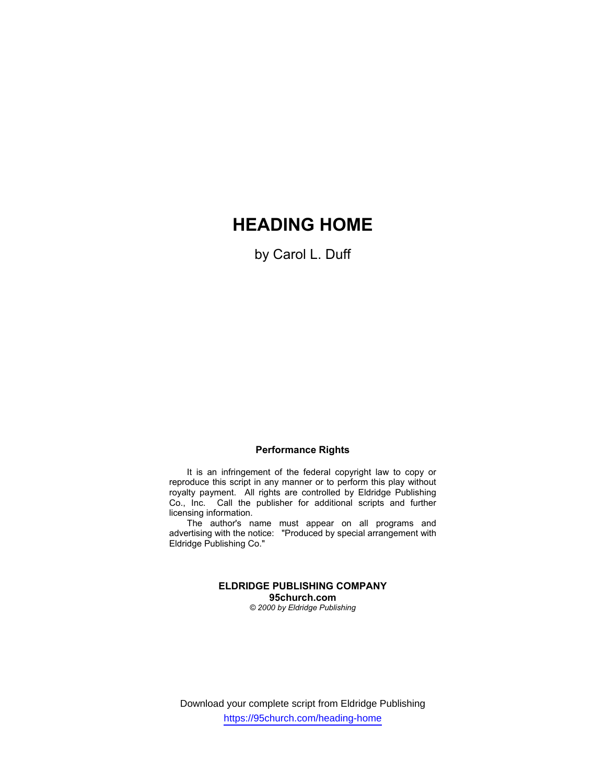# **HEADING HOME**

by Carol L. Duff

#### **Performance Rights**

It is an infringement of the federal copyright law to copy or reproduce this script in any manner or to perform this play without royalty payment. All rights are controlled by Eldridge Publishing Co., Inc. Call the publisher for additional scripts and further licensing information.

The author's name must appear on all programs and advertising with the notice: "Produced by special arrangement with Eldridge Publishing Co."

> **ELDRIDGE PUBLISHING COMPANY 95church.com** *© 2000 by Eldridge Publishing*

Download your complete script from Eldridge Publishing https://95church.com/heading-home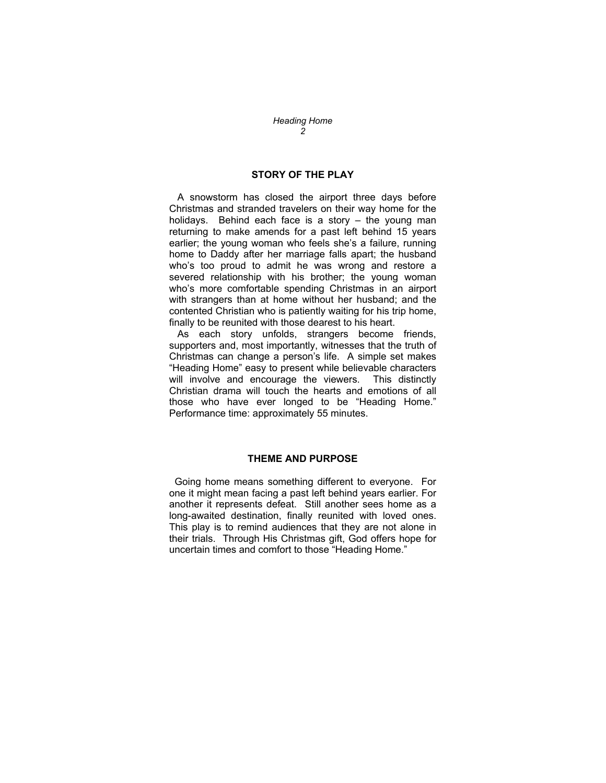#### **STORY OF THE PLAY**

 A snowstorm has closed the airport three days before Christmas and stranded travelers on their way home for the holidays. Behind each face is a story – the young man returning to make amends for a past left behind 15 years earlier; the young woman who feels she's a failure, running home to Daddy after her marriage falls apart; the husband who's too proud to admit he was wrong and restore a severed relationship with his brother; the young woman who's more comfortable spending Christmas in an airport with strangers than at home without her husband; and the contented Christian who is patiently waiting for his trip home, finally to be reunited with those dearest to his heart.

 As each story unfolds, strangers become friends, supporters and, most importantly, witnesses that the truth of Christmas can change a person's life. A simple set makes "Heading Home" easy to present while believable characters will involve and encourage the viewers. This distinctly Christian drama will touch the hearts and emotions of all those who have ever longed to be "Heading Home." Performance time: approximately 55 minutes.

#### **THEME AND PURPOSE**

 Going home means something different to everyone. For one it might mean facing a past left behind years earlier. For another it represents defeat. Still another sees home as a long-awaited destination, finally reunited with loved ones. This play is to remind audiences that they are not alone in their trials. Through His Christmas gift, God offers hope for uncertain times and comfort to those "Heading Home."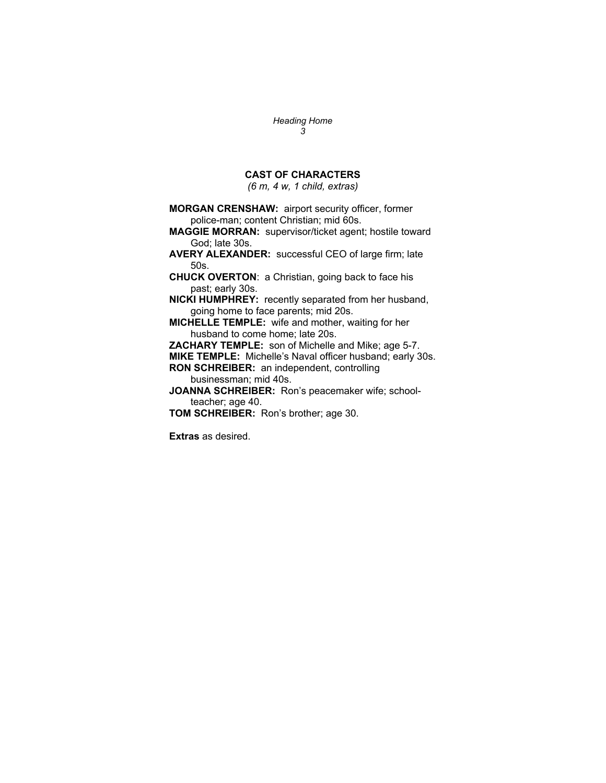### **CAST OF CHARACTERS**

*(6 m, 4 w, 1 child, extras)* 

**MORGAN CRENSHAW:** airport security officer, former police-man; content Christian; mid 60s. **MAGGIE MORRAN:** supervisor/ticket agent; hostile toward God; late 30s. **AVERY ALEXANDER:** successful CEO of large firm; late 50s. **CHUCK OVERTON**: a Christian, going back to face his past; early 30s. **NICKI HUMPHREY:** recently separated from her husband, going home to face parents; mid 20s. **MICHELLE TEMPLE:** wife and mother, waiting for her husband to come home; late 20s. **ZACHARY TEMPLE:** son of Michelle and Mike; age 5-7. **MIKE TEMPLE:** Michelle's Naval officer husband; early 30s. **RON SCHREIBER:** an independent, controlling businessman; mid 40s. **JOANNA SCHREIBER:** Ron's peacemaker wife; schoolteacher; age 40. **TOM SCHREIBER:** Ron's brother; age 30.

**Extras** as desired.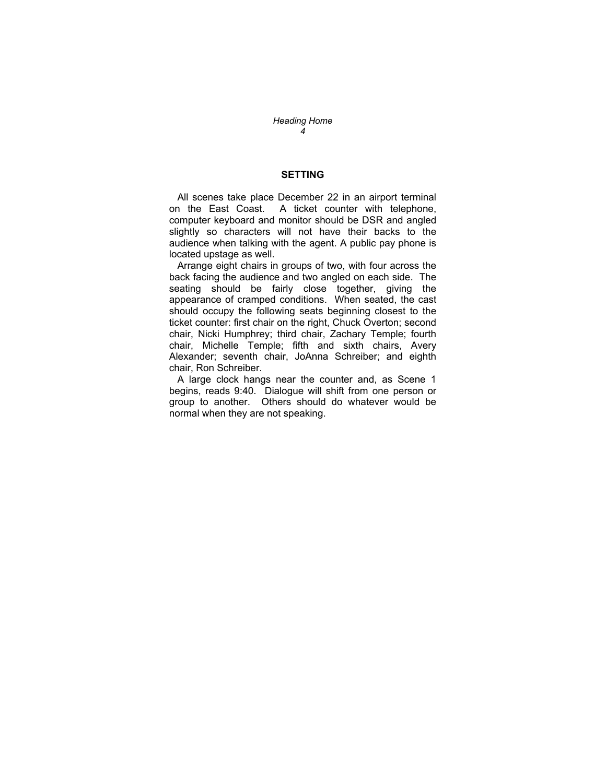#### **SETTING**

 All scenes take place December 22 in an airport terminal on the East Coast. A ticket counter with telephone, computer keyboard and monitor should be DSR and angled slightly so characters will not have their backs to the audience when talking with the agent. A public pay phone is located upstage as well.

 Arrange eight chairs in groups of two, with four across the back facing the audience and two angled on each side. The seating should be fairly close together, giving the appearance of cramped conditions. When seated, the cast should occupy the following seats beginning closest to the ticket counter: first chair on the right, Chuck Overton; second chair, Nicki Humphrey; third chair, Zachary Temple; fourth chair, Michelle Temple; fifth and sixth chairs, Avery Alexander; seventh chair, JoAnna Schreiber; and eighth chair, Ron Schreiber.

 A large clock hangs near the counter and, as Scene 1 begins, reads 9:40. Dialogue will shift from one person or group to another. Others should do whatever would be normal when they are not speaking.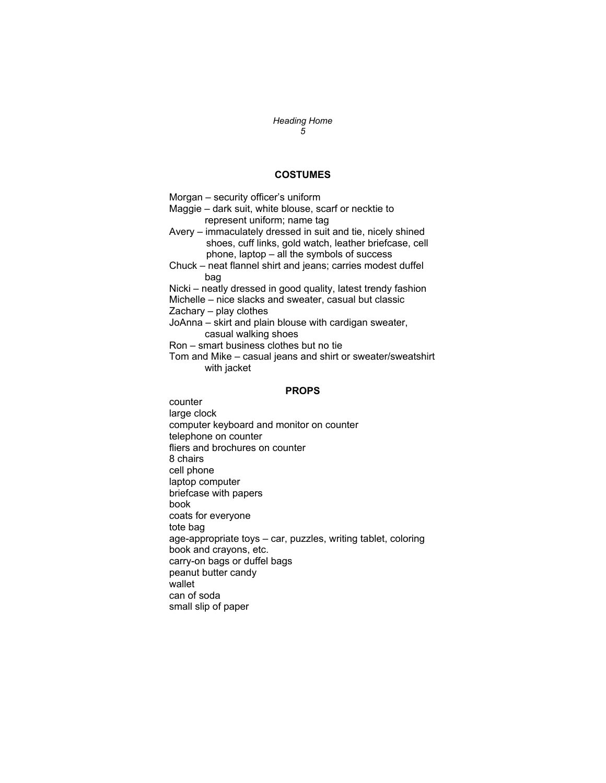#### **COSTUMES**

Morgan – security officer's uniform Maggie – dark suit, white blouse, scarf or necktie to represent uniform; name tag Avery – immaculately dressed in suit and tie, nicely shined shoes, cuff links, gold watch, leather briefcase, cell phone, laptop – all the symbols of success Chuck – neat flannel shirt and jeans; carries modest duffel bag Nicki – neatly dressed in good quality, latest trendy fashion Michelle – nice slacks and sweater, casual but classic Zachary – play clothes JoAnna – skirt and plain blouse with cardigan sweater, casual walking shoes Ron – smart business clothes but no tie Tom and Mike – casual jeans and shirt or sweater/sweatshirt with jacket

#### **PROPS**

counter large clock computer keyboard and monitor on counter telephone on counter fliers and brochures on counter 8 chairs cell phone laptop computer briefcase with papers book coats for everyone tote bag age-appropriate toys – car, puzzles, writing tablet, coloring book and crayons, etc. carry-on bags or duffel bags peanut butter candy wallet can of soda small slip of paper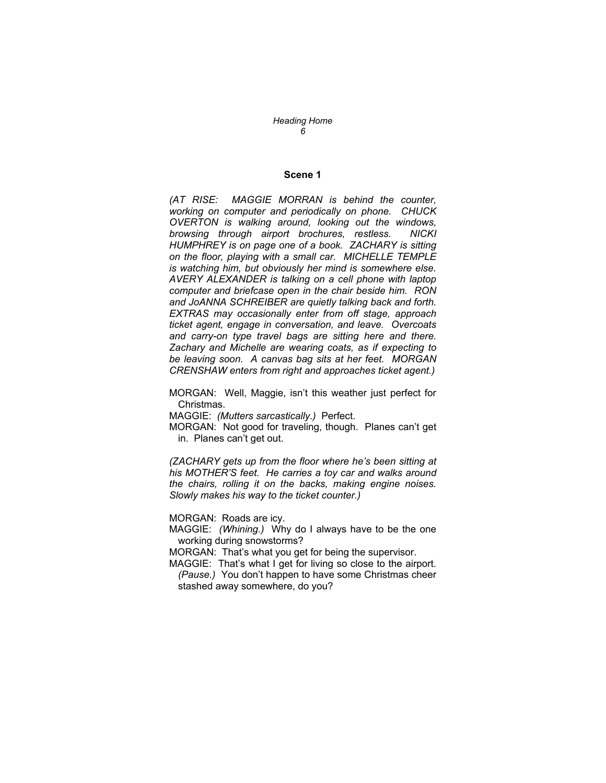#### **Scene 1**

*(AT RISE: MAGGIE MORRAN is behind the counter, working on computer and periodically on phone. CHUCK OVERTON is walking around, looking out the windows, browsing through airport brochures, restless. NICKI HUMPHREY is on page one of a book. ZACHARY is sitting on the floor, playing with a small car. MICHELLE TEMPLE is watching him, but obviously her mind is somewhere else. AVERY ALEXANDER is talking on a cell phone with laptop computer and briefcase open in the chair beside him. RON and JoANNA SCHREIBER are quietly talking back and forth. EXTRAS may occasionally enter from off stage, approach ticket agent, engage in conversation, and leave. Overcoats and carry-on type travel bags are sitting here and there. Zachary and Michelle are wearing coats, as if expecting to be leaving soon. A canvas bag sits at her feet. MORGAN CRENSHAW enters from right and approaches ticket agent.)* 

MORGAN: Well, Maggie, isn't this weather just perfect for Christmas.

MAGGIE: *(Mutters sarcastically.)* Perfect.

MORGAN: Not good for traveling, though. Planes can't get in. Planes can't get out.

*(ZACHARY gets up from the floor where he's been sitting at his MOTHER'S feet. He carries a toy car and walks around the chairs, rolling it on the backs, making engine noises. Slowly makes his way to the ticket counter.)* 

MORGAN: Roads are icy.

MAGGIE: *(Whining.)* Why do I always have to be the one working during snowstorms?

MORGAN: That's what you get for being the supervisor.

MAGGIE: That's what I get for living so close to the airport. *(Pause.)* You don't happen to have some Christmas cheer stashed away somewhere, do you?